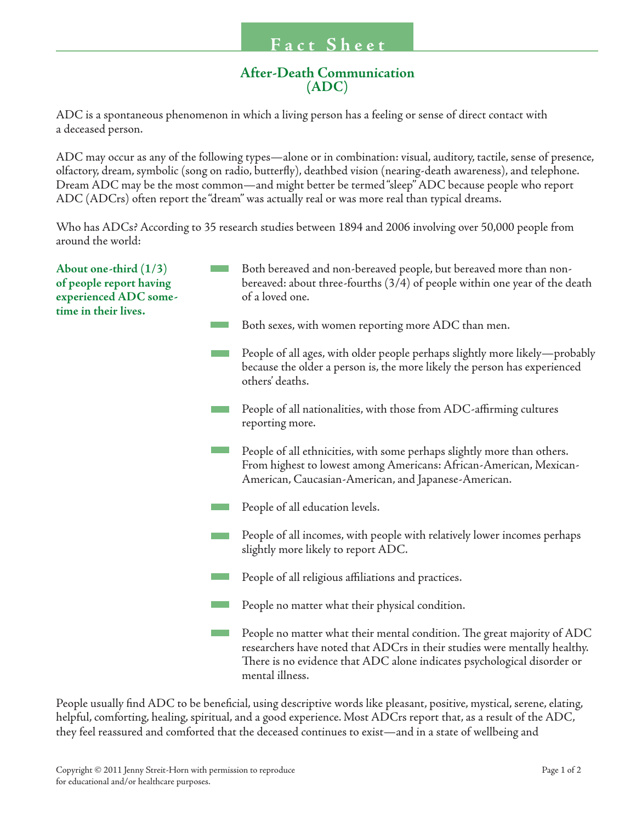## **After-Death Communication (ADC)**

ADC is a spontaneous phenomenon in which a living person has a feeling or sense of direct contact with a deceased person.

ADC may occur as any of the following types—alone or in combination: visual, auditory, tactile, sense of presence, olfactory, dream, symbolic (song on radio, butterfly), deathbed vision (nearing-death awareness), and telephone. Dream ADC may be the most common—and might better be termed "sleep" ADC because people who report ADC (ADCrs) often report the "dream" was actually real or was more real than typical dreams.

Who has ADCs? According to 35 research studies between 1894 and 2006 involving over 50,000 people from around the world:

| About one-third $(1/3)$<br>of people report having<br>experienced ADC some-<br>time in their lives. | Both bereaved and non-bereaved people, but bereaved more than non-<br>bereaved: about three-fourths (3/4) of people within one year of the death<br>of a loved one.                                                                                |
|-----------------------------------------------------------------------------------------------------|----------------------------------------------------------------------------------------------------------------------------------------------------------------------------------------------------------------------------------------------------|
|                                                                                                     | Both sexes, with women reporting more ADC than men.                                                                                                                                                                                                |
|                                                                                                     | People of all ages, with older people perhaps slightly more likely—probably<br>because the older a person is, the more likely the person has experienced<br>others' deaths.                                                                        |
|                                                                                                     | People of all nationalities, with those from ADC-affirming cultures<br>reporting more.                                                                                                                                                             |
|                                                                                                     | People of all ethnicities, with some perhaps slightly more than others.<br>From highest to lowest among Americans: African-American, Mexican-<br>American, Caucasian-American, and Japanese-American.                                              |
|                                                                                                     | People of all education levels.                                                                                                                                                                                                                    |
|                                                                                                     | People of all incomes, with people with relatively lower incomes perhaps<br>slightly more likely to report ADC.                                                                                                                                    |
|                                                                                                     | People of all religious affiliations and practices.                                                                                                                                                                                                |
|                                                                                                     | People no matter what their physical condition.                                                                                                                                                                                                    |
|                                                                                                     | People no matter what their mental condition. The great majority of ADC<br>researchers have noted that ADCrs in their studies were mentally healthy.<br>There is no evidence that ADC alone indicates psychological disorder or<br>mental illness. |

People usually find ADC to be beneficial, using descriptive words like pleasant, positive, mystical, serene, elating, helpful, comforting, healing, spiritual, and a good experience. Most ADCrs report that, as a result of the ADC, they feel reassured and comforted that the deceased continues to exist—and in a state of wellbeing and